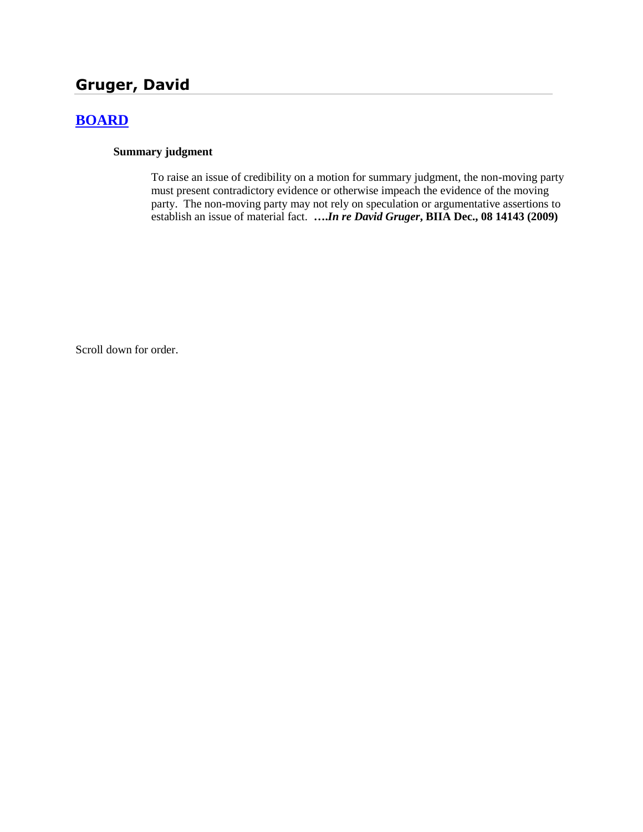# **Gruger, David**

## **[BOARD](http://www.biia.wa.gov/SDSubjectIndex.html#BOARD)**

#### **Summary judgment**

To raise an issue of credibility on a motion for summary judgment, the non-moving party must present contradictory evidence or otherwise impeach the evidence of the moving party. The non-moving party may not rely on speculation or argumentative assertions to establish an issue of material fact. **….***In re David Gruger***, BIIA Dec., 08 14143 (2009)**

Scroll down for order.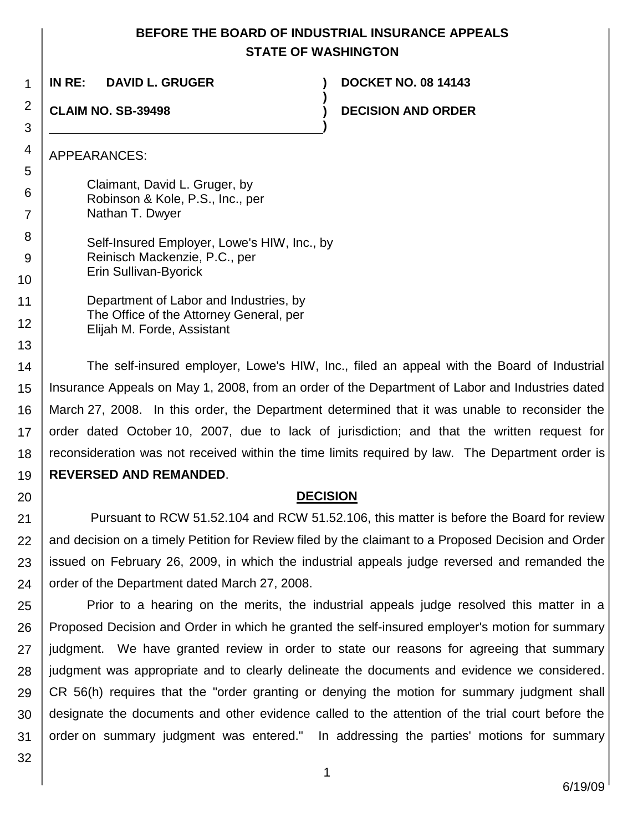### **BEFORE THE BOARD OF INDUSTRIAL INSURANCE APPEALS STATE OF WASHINGTON**

**)**

**)**

**IN RE: DAVID L. GRUGER ) DOCKET NO. 08 14143**

**CLAIM NO. SB-39498 )**

1

2

3

4

13

20

**DECISION AND ORDER** 

APPEARANCES:

5 6 7 8 9 10 Claimant, David L. Gruger, by Robinson & Kole, P.S., Inc., per Nathan T. Dwyer Self-Insured Employer, Lowe's HIW, Inc., by Reinisch Mackenzie, P.C., per Erin Sullivan-Byorick

11 12 Department of Labor and Industries, by The Office of the Attorney General, per Elijah M. Forde, Assistant

14 15 16 17 18 19 The self-insured employer, Lowe's HIW, Inc., filed an appeal with the Board of Industrial Insurance Appeals on May 1, 2008, from an order of the Department of Labor and Industries dated March 27, 2008. In this order, the Department determined that it was unable to reconsider the order dated October 10, 2007, due to lack of jurisdiction; and that the written request for reconsideration was not received within the time limits required by law. The Department order is **REVERSED AND REMANDED**.

### **DECISION**

21 22 23 24 Pursuant to RCW 51.52.104 and RCW 51.52.106, this matter is before the Board for review and decision on a timely Petition for Review filed by the claimant to a Proposed Decision and Order issued on February 26, 2009, in which the industrial appeals judge reversed and remanded the order of the Department dated March 27, 2008.

25 26 27 28 29 30 31 Prior to a hearing on the merits, the industrial appeals judge resolved this matter in a Proposed Decision and Order in which he granted the self-insured employer's motion for summary judgment. We have granted review in order to state our reasons for agreeing that summary judgment was appropriate and to clearly delineate the documents and evidence we considered. CR 56(h) requires that the "order granting or denying the motion for summary judgment shall designate the documents and other evidence called to the attention of the trial court before the order on summary judgment was entered." In addressing the parties' motions for summary

32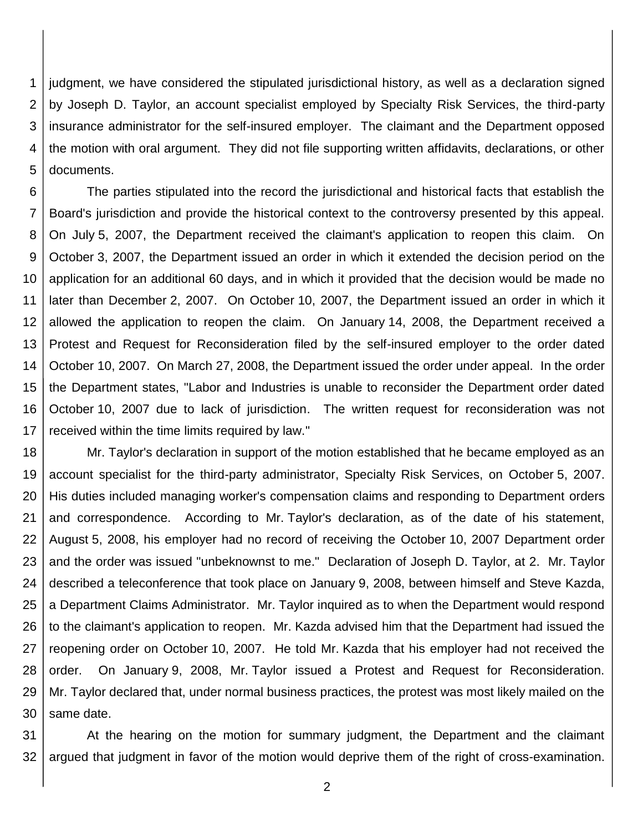1 2 3 4 5 judgment, we have considered the stipulated jurisdictional history, as well as a declaration signed by Joseph D. Taylor, an account specialist employed by Specialty Risk Services, the third-party insurance administrator for the self-insured employer. The claimant and the Department opposed the motion with oral argument. They did not file supporting written affidavits, declarations, or other documents.

6 7 8 9 10 11 12 13 14 15 16 17 The parties stipulated into the record the jurisdictional and historical facts that establish the Board's jurisdiction and provide the historical context to the controversy presented by this appeal. On July 5, 2007, the Department received the claimant's application to reopen this claim. On October 3, 2007, the Department issued an order in which it extended the decision period on the application for an additional 60 days, and in which it provided that the decision would be made no later than December 2, 2007. On October 10, 2007, the Department issued an order in which it allowed the application to reopen the claim. On January 14, 2008, the Department received a Protest and Request for Reconsideration filed by the self-insured employer to the order dated October 10, 2007. On March 27, 2008, the Department issued the order under appeal. In the order the Department states, "Labor and Industries is unable to reconsider the Department order dated October 10, 2007 due to lack of jurisdiction. The written request for reconsideration was not received within the time limits required by law."

18 19 20 21 22 23 24 25 26 27 28 29 30 Mr. Taylor's declaration in support of the motion established that he became employed as an account specialist for the third-party administrator, Specialty Risk Services, on October 5, 2007. His duties included managing worker's compensation claims and responding to Department orders and correspondence. According to Mr. Taylor's declaration, as of the date of his statement, August 5, 2008, his employer had no record of receiving the October 10, 2007 Department order and the order was issued "unbeknownst to me." Declaration of Joseph D. Taylor, at 2. Mr. Taylor described a teleconference that took place on January 9, 2008, between himself and Steve Kazda, a Department Claims Administrator. Mr. Taylor inquired as to when the Department would respond to the claimant's application to reopen. Mr. Kazda advised him that the Department had issued the reopening order on October 10, 2007. He told Mr. Kazda that his employer had not received the order. On January 9, 2008, Mr. Taylor issued a Protest and Request for Reconsideration. Mr. Taylor declared that, under normal business practices, the protest was most likely mailed on the same date.

31 32 At the hearing on the motion for summary judgment, the Department and the claimant argued that judgment in favor of the motion would deprive them of the right of cross-examination.

2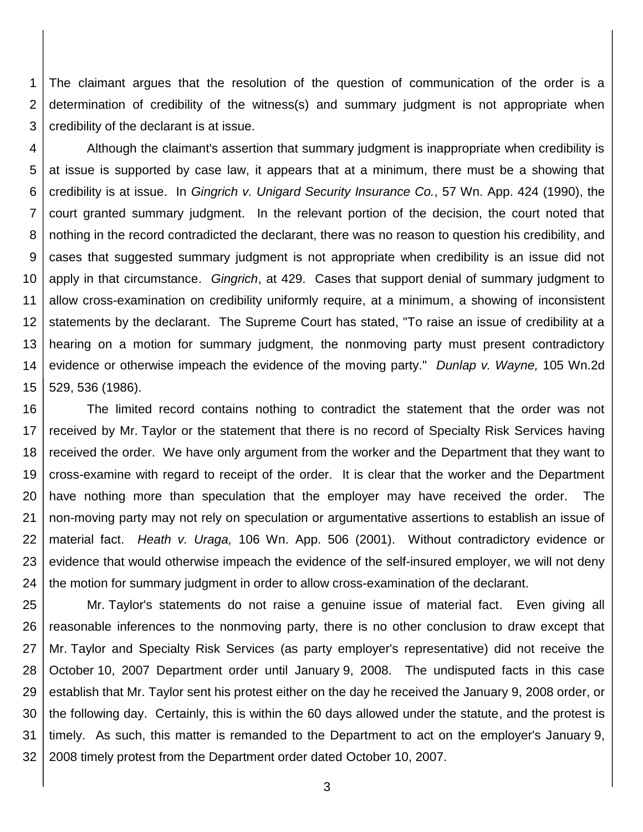1 2 3 The claimant argues that the resolution of the question of communication of the order is a determination of credibility of the witness(s) and summary judgment is not appropriate when credibility of the declarant is at issue.

4 5 6 7 8 9 10 11 12 13 14 15 Although the claimant's assertion that summary judgment is inappropriate when credibility is at issue is supported by case law, it appears that at a minimum, there must be a showing that credibility is at issue. In *Gingrich v. Unigard Security Insurance Co.*, 57 Wn. App. 424 (1990), the court granted summary judgment. In the relevant portion of the decision, the court noted that nothing in the record contradicted the declarant, there was no reason to question his credibility, and cases that suggested summary judgment is not appropriate when credibility is an issue did not apply in that circumstance. *Gingrich*, at 429. Cases that support denial of summary judgment to allow cross-examination on credibility uniformly require, at a minimum, a showing of inconsistent statements by the declarant. The Supreme Court has stated, "To raise an issue of credibility at a hearing on a motion for summary judgment, the nonmoving party must present contradictory evidence or otherwise impeach the evidence of the moving party." *Dunlap v. Wayne,* 105 Wn.2d 529, 536 (1986).

16 17 18 19 20 21 22 23 24 The limited record contains nothing to contradict the statement that the order was not received by Mr. Taylor or the statement that there is no record of Specialty Risk Services having received the order. We have only argument from the worker and the Department that they want to cross-examine with regard to receipt of the order. It is clear that the worker and the Department have nothing more than speculation that the employer may have received the order. The non-moving party may not rely on speculation or argumentative assertions to establish an issue of material fact. *Heath v. Uraga,* 106 Wn. App. 506 (2001). Without contradictory evidence or evidence that would otherwise impeach the evidence of the self-insured employer, we will not deny the motion for summary judgment in order to allow cross-examination of the declarant.

25 26 27 28 29 30 31 32 Mr. Taylor's statements do not raise a genuine issue of material fact. Even giving all reasonable inferences to the nonmoving party, there is no other conclusion to draw except that Mr. Taylor and Specialty Risk Services (as party employer's representative) did not receive the October 10, 2007 Department order until January 9, 2008. The undisputed facts in this case establish that Mr. Taylor sent his protest either on the day he received the January 9, 2008 order, or the following day. Certainly, this is within the 60 days allowed under the statute, and the protest is timely. As such, this matter is remanded to the Department to act on the employer's January 9, 2008 timely protest from the Department order dated October 10, 2007.

3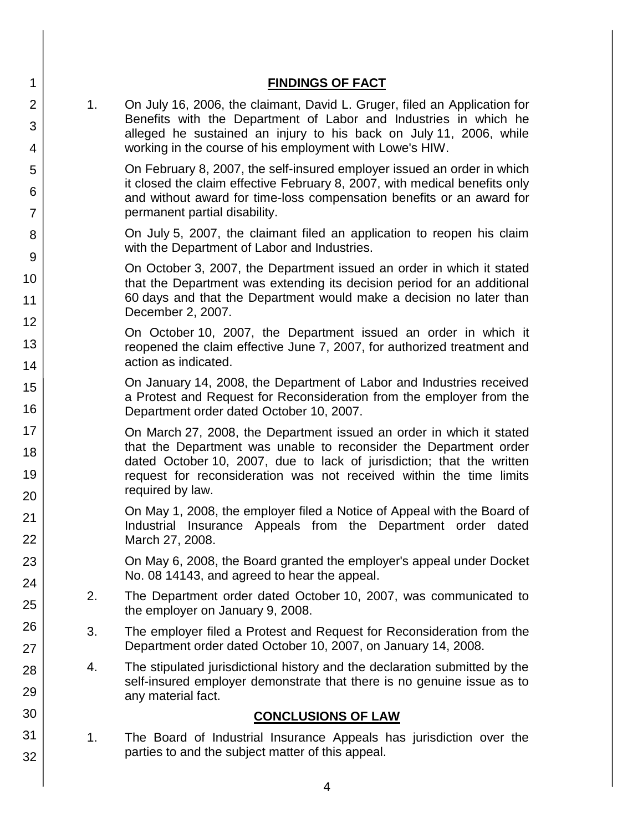| 1                    |                | <b>FINDINGS OF FACT</b>                                                                                                                                                                                                                                                                                       |
|----------------------|----------------|---------------------------------------------------------------------------------------------------------------------------------------------------------------------------------------------------------------------------------------------------------------------------------------------------------------|
| 2<br>3<br>4          | 1 <sub>1</sub> | On July 16, 2006, the claimant, David L. Gruger, filed an Application for<br>Benefits with the Department of Labor and Industries in which he<br>alleged he sustained an injury to his back on July 11, 2006, while<br>working in the course of his employment with Lowe's HIW.                               |
| 5<br>6<br>7          |                | On February 8, 2007, the self-insured employer issued an order in which<br>it closed the claim effective February 8, 2007, with medical benefits only<br>and without award for time-loss compensation benefits or an award for<br>permanent partial disability.                                               |
| 8<br>9               |                | On July 5, 2007, the claimant filed an application to reopen his claim<br>with the Department of Labor and Industries.                                                                                                                                                                                        |
| 10<br>11             |                | On October 3, 2007, the Department issued an order in which it stated<br>that the Department was extending its decision period for an additional<br>60 days and that the Department would make a decision no later than<br>December 2, 2007.                                                                  |
| 12<br>13<br>14       |                | On October 10, 2007, the Department issued an order in which it<br>reopened the claim effective June 7, 2007, for authorized treatment and<br>action as indicated.                                                                                                                                            |
| 15<br>16             |                | On January 14, 2008, the Department of Labor and Industries received<br>a Protest and Request for Reconsideration from the employer from the<br>Department order dated October 10, 2007.                                                                                                                      |
| 17<br>18<br>19<br>20 |                | On March 27, 2008, the Department issued an order in which it stated<br>that the Department was unable to reconsider the Department order<br>dated October 10, 2007, due to lack of jurisdiction; that the written<br>request for reconsideration was not received within the time limits<br>required by law. |
| 21<br>22             |                | On May 1, 2008, the employer filed a Notice of Appeal with the Board of<br>Industrial<br>Insurance Appeals from the Department order dated<br>March 27, 2008.                                                                                                                                                 |
| 23<br>24             |                | On May 6, 2008, the Board granted the employer's appeal under Docket<br>No. 08 14143, and agreed to hear the appeal.                                                                                                                                                                                          |
| 25                   | 2.             | The Department order dated October 10, 2007, was communicated to<br>the employer on January 9, 2008.                                                                                                                                                                                                          |
| 26<br>27             | 3.             | The employer filed a Protest and Request for Reconsideration from the<br>Department order dated October 10, 2007, on January 14, 2008.                                                                                                                                                                        |
| 28<br>29             | 4.             | The stipulated jurisdictional history and the declaration submitted by the<br>self-insured employer demonstrate that there is no genuine issue as to<br>any material fact.                                                                                                                                    |
| 30                   |                | <b>CONCLUSIONS OF LAW</b>                                                                                                                                                                                                                                                                                     |
| 31<br>32             | 1.             | The Board of Industrial Insurance Appeals has jurisdiction over the<br>parties to and the subject matter of this appeal.                                                                                                                                                                                      |